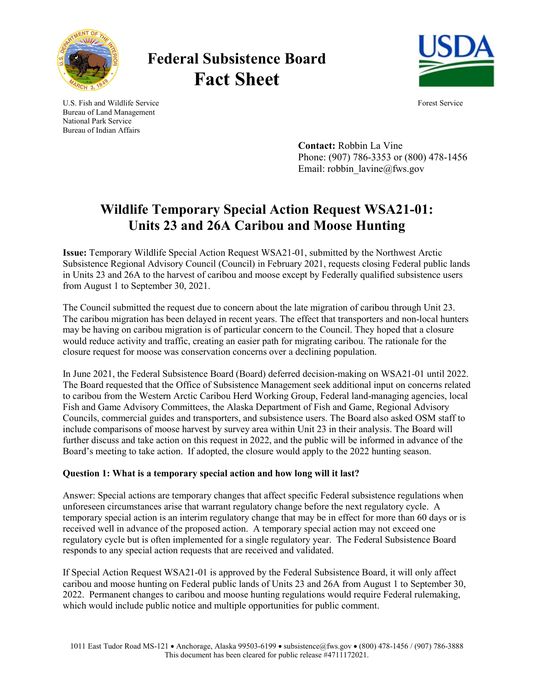

# **Federal Subsistence Board Fact Sheet**



U.S. Fish and Wildlife Service Forest Service Forest Service Bureau of Land Management National Park Service Bureau of Indian Affairs

> **Contact:** Robbin La Vine Phone: (907) 786-3353 or (800) 478-1456 Email: robbin\_lavine@fws.gov

## **Wildlife Temporary Special Action Request WSA21-01: Units 23 and 26A Caribou and Moose Hunting**

**Issue:** Temporary Wildlife Special Action Request WSA21-01, submitted by the Northwest Arctic Subsistence Regional Advisory Council (Council) in February 2021, requests closing Federal public lands in Units 23 and 26A to the harvest of caribou and moose except by Federally qualified subsistence users from August 1 to September 30, 2021.

The Council submitted the request due to concern about the late migration of caribou through Unit 23. The caribou migration has been delayed in recent years. The effect that transporters and non-local hunters may be having on caribou migration is of particular concern to the Council. They hoped that a closure would reduce activity and traffic, creating an easier path for migrating caribou. The rationale for the closure request for moose was conservation concerns over a declining population.

In June 2021, the Federal Subsistence Board (Board) deferred decision-making on WSA21-01 until 2022. The Board requested that the Office of Subsistence Management seek additional input on concerns related to caribou from the Western Arctic Caribou Herd Working Group, Federal land-managing agencies, local Fish and Game Advisory Committees, the Alaska Department of Fish and Game, Regional Advisory Councils, commercial guides and transporters, and subsistence users. The Board also asked OSM staff to include comparisons of moose harvest by survey area within Unit 23 in their analysis. The Board will further discuss and take action on this request in 2022, and the public will be informed in advance of the Board's meeting to take action. If adopted, the closure would apply to the 2022 hunting season.

### **Question 1: What is a temporary special action and how long will it last?**

Answer: Special actions are temporary changes that affect specific Federal subsistence regulations when unforeseen circumstances arise that warrant regulatory change before the next regulatory cycle. A temporary special action is an interim regulatory change that may be in effect for more than 60 days or is received well in advance of the proposed action. A temporary special action may not exceed one regulatory cycle but is often implemented for a single regulatory year. The Federal Subsistence Board responds to any special action requests that are received and validated.

If Special Action Request WSA21-01 is approved by the Federal Subsistence Board, it will only affect caribou and moose hunting on Federal public lands of Units 23 and 26A from August 1 to September 30, 2022. Permanent changes to caribou and moose hunting regulations would require Federal rulemaking, which would include public notice and multiple opportunities for public comment.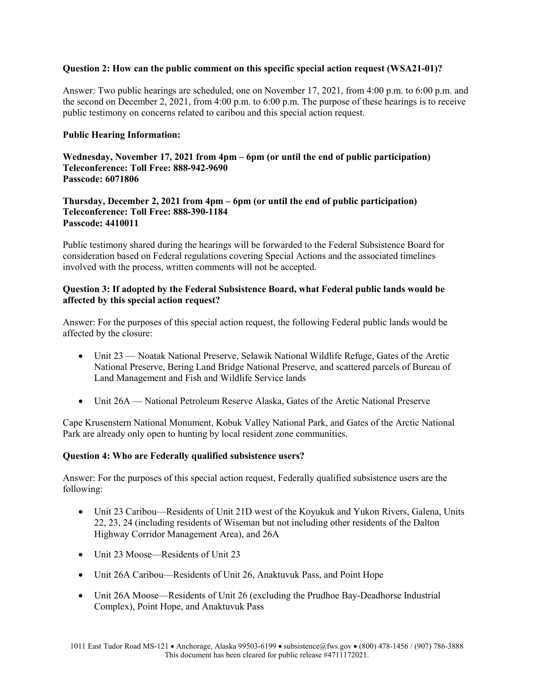#### **Question 2: How can the public comment on this specific special action request (WSA21-01)?**

Answer: Two public hearings are scheduled, one on November 17, 2021, from 4:00 p.m. to 6:00 p.m. and the second on December 2, 2021, from 4:00 p.m. to 6:00 p.m. The purpose of these hearings is to receive public testimony on concerns related to caribou and this special action request.

#### **Public Hearing Information:**

**Wednesday, November 17, 2021 from 4pm – 6pm (or until the end of public participation) Teleconference: Toll Free: 888-942-9690 Passcode: 6071806**

**Thursday, December 2, 2021 from 4pm – 6pm (or until the end of public participation) Teleconference: Toll Free: 888-390-1184 Passcode: 4410011**

Public testimony shared during the hearings will be forwarded to the Federal Subsistence Board for consideration based on Federal regulations covering Special Actions and the associated timelines involved with the process, written comments will not be accepted.

#### **Question 3: If adopted by the Federal Subsistence Board, what Federal public lands would be affected by this special action request?**

Answer: For the purposes of this special action request, the following Federal public lands would be affected by the closure:

- Unit 23 Noatak National Preserve, Selawik National Wildlife Refuge, Gates of the Arctic National Preserve, Bering Land Bridge National Preserve, and scattered parcels of Bureau of Land Management and Fish and Wildlife Service lands
- Unit 26A National Petroleum Reserve Alaska, Gates of the Arctic National Preserve

Cape Krusenstern National Monument, Kobuk Valley National Park, and Gates of the Arctic National Park are already only open to hunting by local resident zone communities.

#### **Question 4: Who are Federally qualified subsistence users?**

Answer: For the purposes of this special action request, Federally qualified subsistence users are the following:

- Unit 23 Caribou—Residents of Unit 21D west of the Koyukuk and Yukon Rivers, Galena, Units 22, 23, 24 (including residents of Wiseman but not including other residents of the Dalton Highway Corridor Management Area), and 26A
- Unit 23 Moose—Residents of Unit 23
- Unit 26A Caribou—Residents of Unit 26, Anaktuvuk Pass, and Point Hope
- Unit 26A Moose—Residents of Unit 26 (excluding the Prudhoe Bay-Deadhorse Industrial Complex), Point Hope, and Anaktuvuk Pass